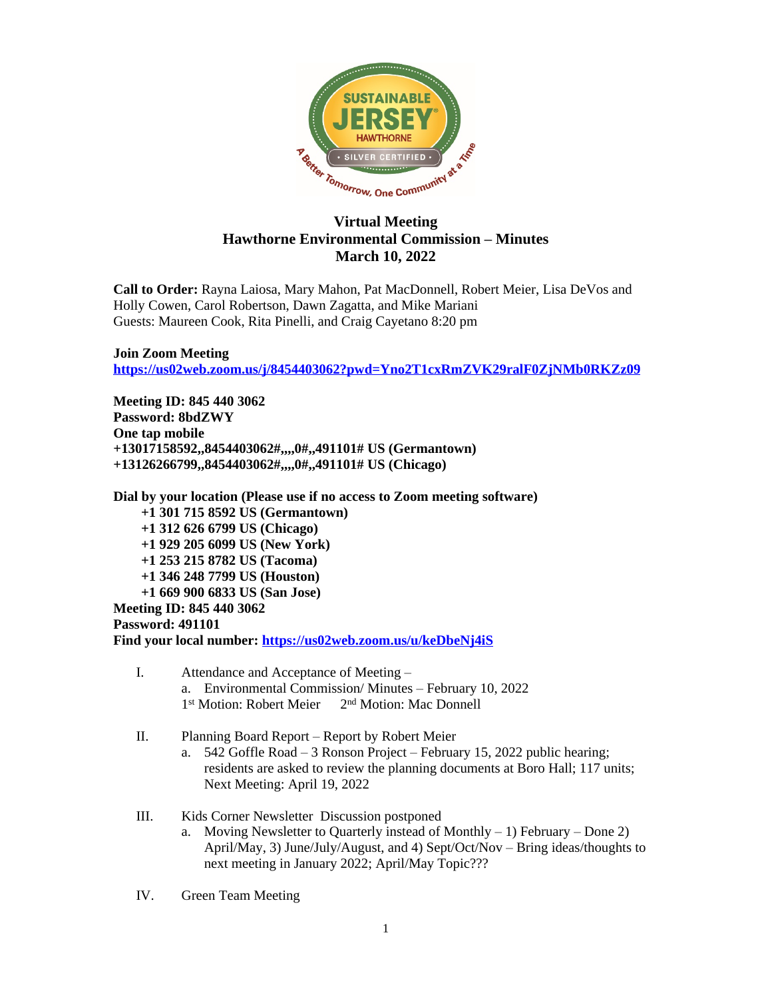

## **Virtual Meeting Hawthorne Environmental Commission – Minutes March 10, 2022**

**Call to Order:** Rayna Laiosa, Mary Mahon, Pat MacDonnell, Robert Meier, Lisa DeVos and Holly Cowen, Carol Robertson, Dawn Zagatta, and Mike Mariani Guests: Maureen Cook, Rita Pinelli, and Craig Cayetano 8:20 pm

**Join Zoom Meeting <https://us02web.zoom.us/j/8454403062?pwd=Yno2T1cxRmZVK29ralF0ZjNMb0RKZz09>**

**Meeting ID: 845 440 3062 Password: 8bdZWY One tap mobile +13017158592,,8454403062#,,,,0#,,491101# US (Germantown) +13126266799,,8454403062#,,,,0#,,491101# US (Chicago)**

**Dial by your location (Please use if no access to Zoom meeting software)**

 **+1 301 715 8592 US (Germantown)**

 **+1 312 626 6799 US (Chicago)**

 **+1 929 205 6099 US (New York)**

- **+1 253 215 8782 US (Tacoma)**
- **+1 346 248 7799 US (Houston)**
- **+1 669 900 6833 US (San Jose)**

**Meeting ID: 845 440 3062**

**Password: 491101**

**Find your local number: <https://us02web.zoom.us/u/keDbeNj4iS>**

- I. Attendance and Acceptance of Meeting a. Environmental Commission/ Minutes – February 10, 2022 1<sup>st</sup> Motion: Robert Meier 2 2<sup>nd</sup> Motion: Mac Donnell
- II. Planning Board Report Report by Robert Meier a. 542 Goffle Road – 3 Ronson Project – February 15, 2022 public hearing;
	- residents are asked to review the planning documents at Boro Hall; 117 units; Next Meeting: April 19, 2022
- III. Kids Corner Newsletter Discussion postponed
	- a. Moving Newsletter to Quarterly instead of Monthly  $1$ ) February Done 2) April/May, 3) June/July/August, and 4) Sept/Oct/Nov – Bring ideas/thoughts to next meeting in January 2022; April/May Topic???
- IV. Green Team Meeting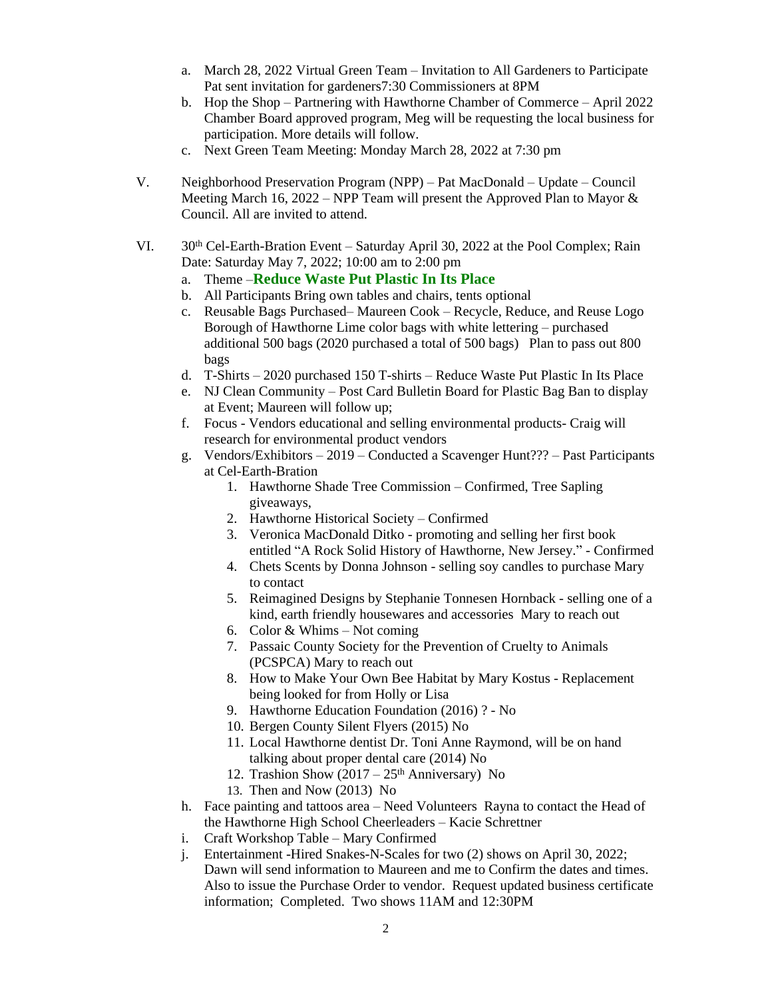- a. March 28, 2022 Virtual Green Team Invitation to All Gardeners to Participate Pat sent invitation for gardeners7:30 Commissioners at 8PM
- b. Hop the Shop Partnering with Hawthorne Chamber of Commerce April 2022 Chamber Board approved program, Meg will be requesting the local business for participation. More details will follow.
- c. Next Green Team Meeting: Monday March 28, 2022 at 7:30 pm
- V. Neighborhood Preservation Program (NPP) Pat MacDonald Update Council Meeting March 16, 2022 – NPP Team will present the Approved Plan to Mayor  $\&$ Council. All are invited to attend.
- VI. 30th Cel-Earth-Bration Event Saturday April 30, 2022 at the Pool Complex; Rain Date: Saturday May 7, 2022; 10:00 am to 2:00 pm
	- a. Theme –**Reduce Waste Put Plastic In Its Place**
	- b. All Participants Bring own tables and chairs, tents optional
	- c. Reusable Bags Purchased– Maureen Cook Recycle, Reduce, and Reuse Logo Borough of Hawthorne Lime color bags with white lettering – purchased additional 500 bags (2020 purchased a total of 500 bags) Plan to pass out 800 bags
	- d. T-Shirts 2020 purchased 150 T-shirts Reduce Waste Put Plastic In Its Place
	- e. NJ Clean Community Post Card Bulletin Board for Plastic Bag Ban to display at Event; Maureen will follow up;
	- f. Focus Vendors educational and selling environmental products- Craig will research for environmental product vendors
	- g. Vendors/Exhibitors 2019 Conducted a Scavenger Hunt??? Past Participants at Cel-Earth-Bration
		- 1. Hawthorne Shade Tree Commission Confirmed, Tree Sapling giveaways,
		- 2. Hawthorne Historical Society Confirmed
		- 3. Veronica MacDonald Ditko promoting and selling her first book entitled "A Rock Solid History of Hawthorne, New Jersey." - Confirmed
		- 4. Chets Scents by Donna Johnson selling soy candles to purchase Mary to contact
		- 5. Reimagined Designs by Stephanie Tonnesen Hornback selling one of a kind, earth friendly housewares and accessories Mary to reach out
		- 6. Color  $&$  Whims Not coming
		- 7. Passaic County Society for the Prevention of Cruelty to Animals (PCSPCA) Mary to reach out
		- 8. How to Make Your Own Bee Habitat by Mary Kostus Replacement being looked for from Holly or Lisa
		- 9. Hawthorne Education Foundation (2016) ? No
		- 10. Bergen County Silent Flyers (2015) No
		- 11. Local Hawthorne dentist Dr. Toni Anne Raymond, will be on hand talking about proper dental care (2014) No
		- 12. Trashion Show  $(2017 25<sup>th</sup>$  Anniversary) No
		- 13. Then and Now (2013) No
	- h. Face painting and tattoos area Need Volunteers Rayna to contact the Head of the Hawthorne High School Cheerleaders – Kacie Schrettner
	- i. Craft Workshop Table Mary Confirmed
	- j. Entertainment -Hired Snakes-N-Scales for two (2) shows on April 30, 2022; Dawn will send information to Maureen and me to Confirm the dates and times. Also to issue the Purchase Order to vendor. Request updated business certificate information; Completed. Two shows 11AM and 12:30PM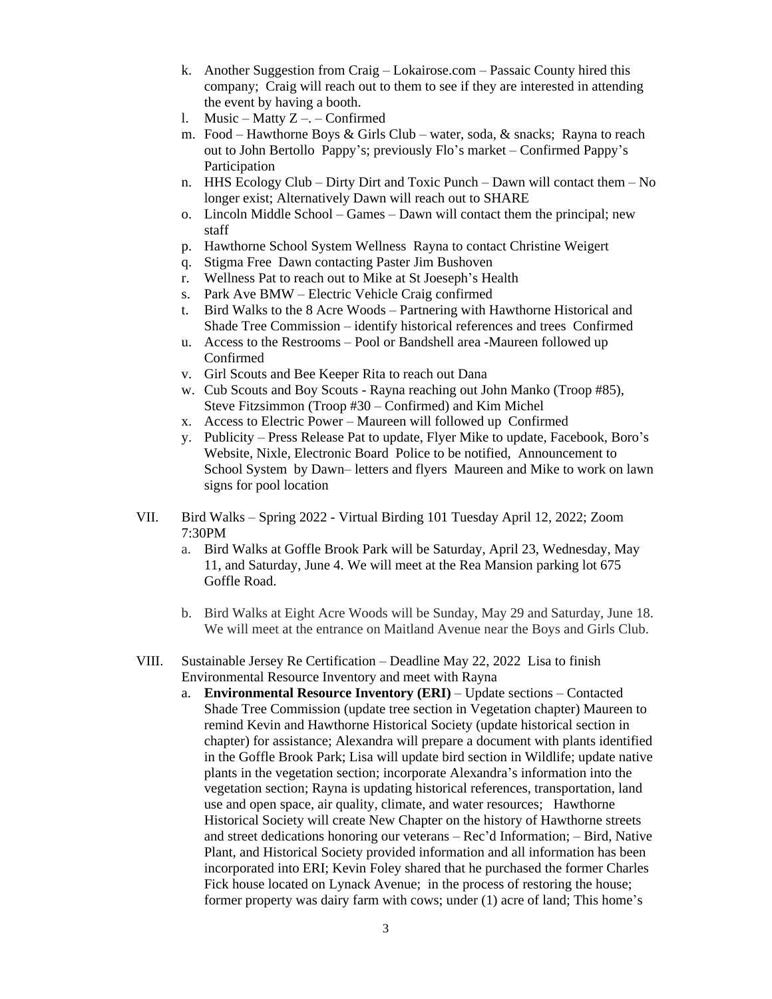- k. Another Suggestion from Craig Lokairose.com Passaic County hired this company; Craig will reach out to them to see if they are interested in attending the event by having a booth.
- l. Music Matty  $Z$  –. Confirmed
- m. Food Hawthorne Boys & Girls Club water, soda, & snacks; Rayna to reach out to John Bertollo Pappy's; previously Flo's market – Confirmed Pappy's Participation
- n. HHS Ecology Club Dirty Dirt and Toxic Punch Dawn will contact them No longer exist; Alternatively Dawn will reach out to SHARE
- o. Lincoln Middle School Games Dawn will contact them the principal; new staff
- p. Hawthorne School System Wellness Rayna to contact Christine Weigert
- q. Stigma Free Dawn contacting Paster Jim Bushoven
- r. Wellness Pat to reach out to Mike at St Joeseph's Health
- s. Park Ave BMW Electric Vehicle Craig confirmed
- t. Bird Walks to the 8 Acre Woods Partnering with Hawthorne Historical and Shade Tree Commission – identify historical references and trees Confirmed
- u. Access to the Restrooms Pool or Bandshell area -Maureen followed up Confirmed
- v. Girl Scouts and Bee Keeper Rita to reach out Dana
- w. Cub Scouts and Boy Scouts Rayna reaching out John Manko (Troop #85), Steve Fitzsimmon (Troop #30 – Confirmed) and Kim Michel
- x. Access to Electric Power Maureen will followed up Confirmed
- y. Publicity Press Release Pat to update, Flyer Mike to update, Facebook, Boro's Website, Nixle, Electronic Board Police to be notified, Announcement to School System by Dawn– letters and flyers Maureen and Mike to work on lawn signs for pool location
- VII. Bird Walks Spring 2022 Virtual Birding 101 Tuesday April 12, 2022; Zoom 7:30PM
	- a. Bird Walks at Goffle Brook Park will be Saturday, April 23, Wednesday, May 11, and Saturday, June 4. We will meet at the Rea Mansion parking lot 675 Goffle Road.
	- b. Bird Walks at Eight Acre Woods will be Sunday, May 29 and Saturday, June 18. We will meet at the entrance on Maitland Avenue near the Boys and Girls Club.
- VIII. Sustainable Jersey Re Certification Deadline May 22, 2022 Lisa to finish Environmental Resource Inventory and meet with Rayna
	- a. **Environmental Resource Inventory (ERI)** Update sections Contacted Shade Tree Commission (update tree section in Vegetation chapter) Maureen to remind Kevin and Hawthorne Historical Society (update historical section in chapter) for assistance; Alexandra will prepare a document with plants identified in the Goffle Brook Park; Lisa will update bird section in Wildlife; update native plants in the vegetation section; incorporate Alexandra's information into the vegetation section; Rayna is updating historical references, transportation, land use and open space, air quality, climate, and water resources; Hawthorne Historical Society will create New Chapter on the history of Hawthorne streets and street dedications honoring our veterans – Rec'd Information; – Bird, Native Plant, and Historical Society provided information and all information has been incorporated into ERI; Kevin Foley shared that he purchased the former Charles Fick house located on Lynack Avenue; in the process of restoring the house; former property was dairy farm with cows; under (1) acre of land; This home's